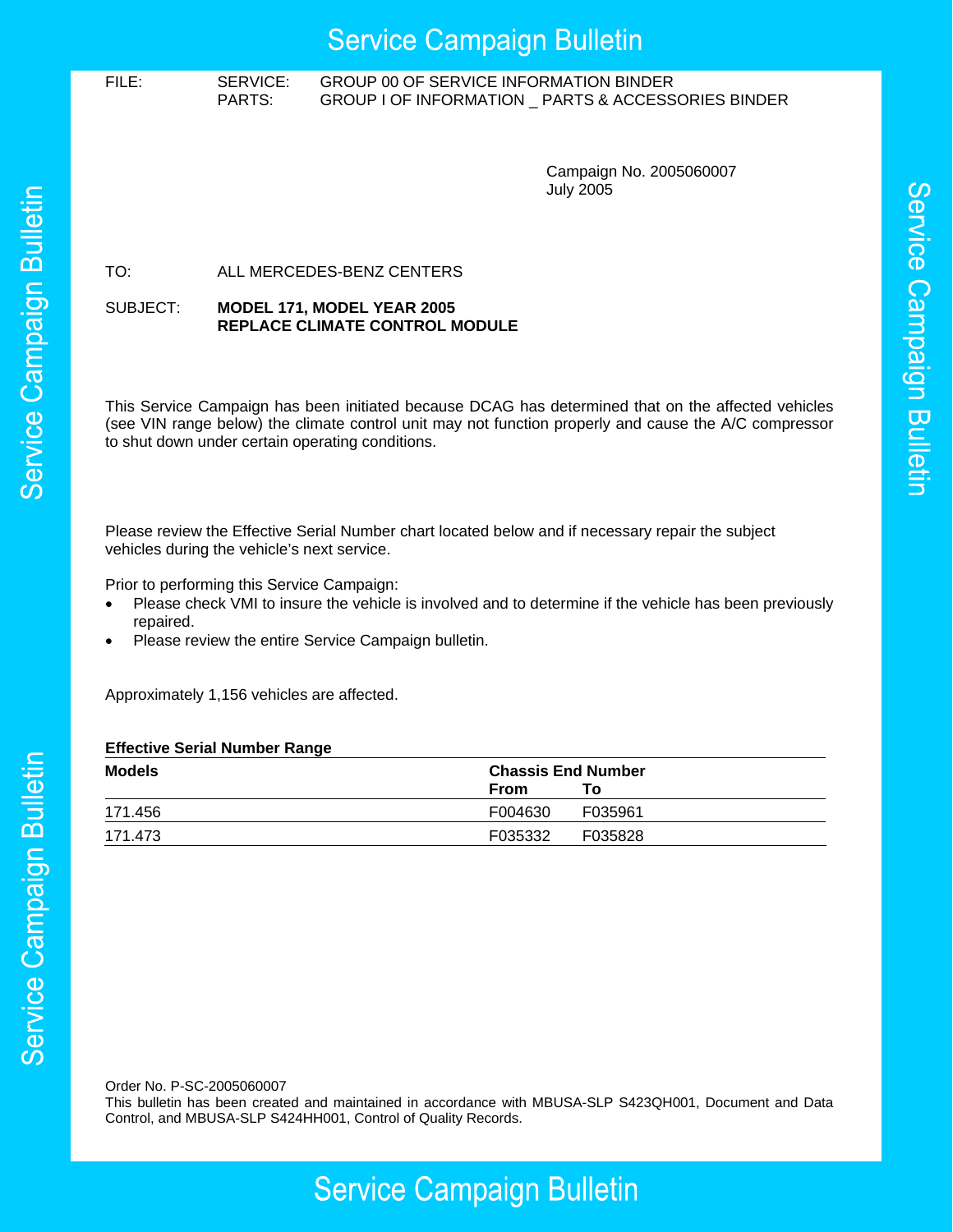## **Service Campaign Bulletin**

## FILE: SERVICE: GROUP 00 OF SERVICE INFORMATION BINDER PARTS: GROUP I OF INFORMATION \_ PARTS & ACCESSORIES BINDER

Campaign No. 2005060007 July 2005

Service Campaign Bulletin

## TO: ALL MERCEDES-BENZ CENTERS

#### SUBJECT: **MODEL 171, MODEL YEAR 2005 REPLACE CLIMATE CONTROL MODULE**

This Service Campaign has been initiated because DCAG has determined that on the affected vehicles (see VIN range below) the climate control unit may not function properly and cause the A/C compressor to shut down under certain operating conditions.

Please review the Effective Serial Number chart located below and if necessary repair the subject vehicles during the vehicle's next service.

Prior to performing this Service Campaign:

- Please check VMI to insure the vehicle is involved and to determine if the vehicle has been previously repaired.
- Please review the entire Service Campaign bulletin.

Approximately 1,156 vehicles are affected.

### **Effective Serial Number Range**

| Models  | <b>Chassis End Number</b> |         |
|---------|---------------------------|---------|
|         | From                      | To l    |
| 171.456 | F004630                   | F035961 |
| 171.473 | F035332                   | F035828 |

Order No. P-SC-2005060007

This bulletin has been created and maintained in accordance with MBUSA-SLP S423QH001, Document and Data Control, and MBUSA-SLP S424HH001, Control of Quality Records.

# **Service Campaign Bulletin**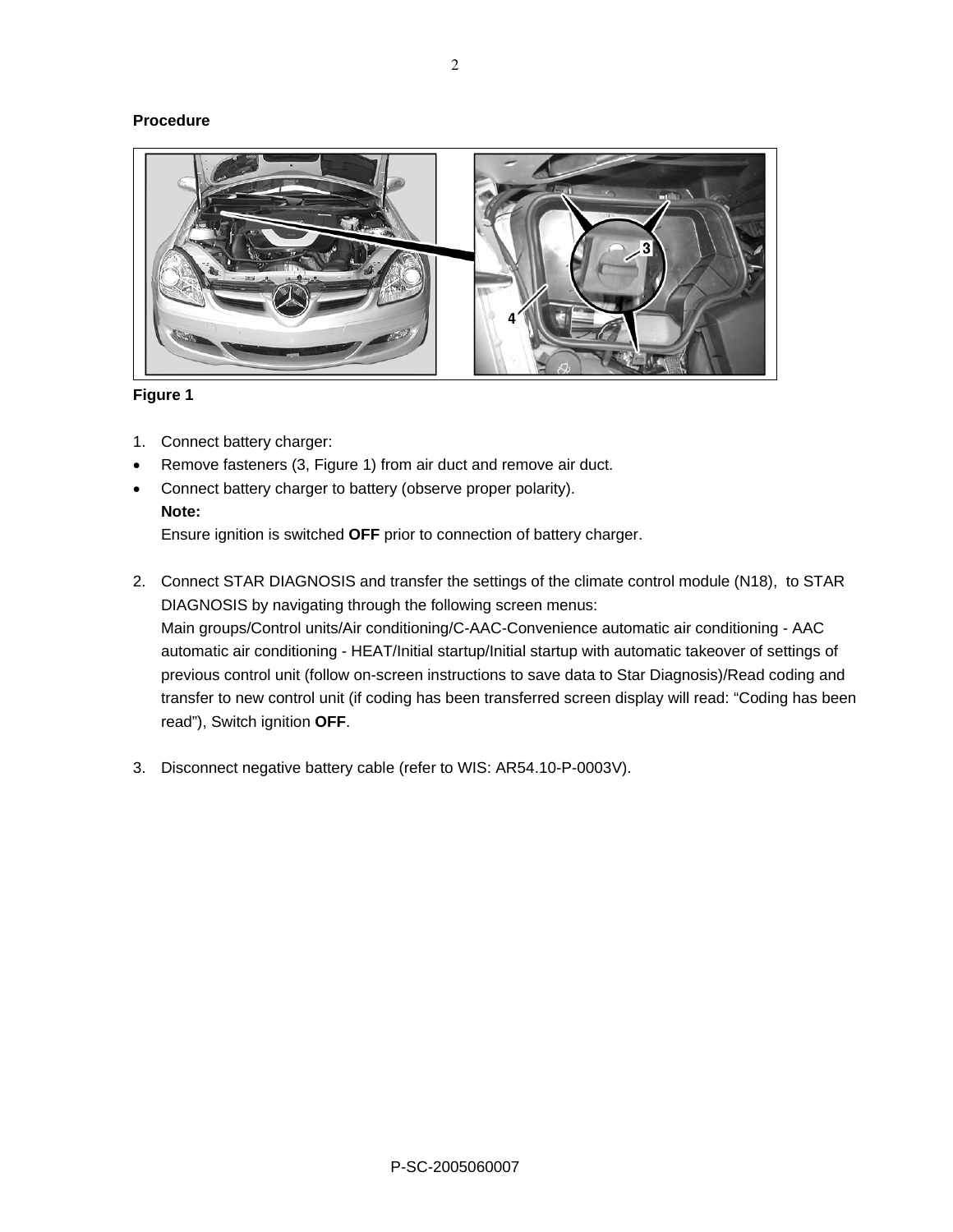## **Procedure**



## **Figure 1**

- 1. Connect battery charger:
- Remove fasteners (3, Figure 1) from air duct and remove air duct.
- Connect battery charger to battery (observe proper polarity).

## **Note:**

Ensure ignition is switched **OFF** prior to connection of battery charger.

- 2. Connect STAR DIAGNOSIS and transfer the settings of the climate control module (N18), to STAR DIAGNOSIS by navigating through the following screen menus: Main groups/Control units/Air conditioning/C-AAC-Convenience automatic air conditioning - AAC automatic air conditioning - HEAT/Initial startup/Initial startup with automatic takeover of settings of previous control unit (follow on-screen instructions to save data to Star Diagnosis)/Read coding and transfer to new control unit (if coding has been transferred screen display will read: "Coding has been read"), Switch ignition **OFF**.
- 3. Disconnect negative battery cable (refer to WIS: AR54.10-P-0003V).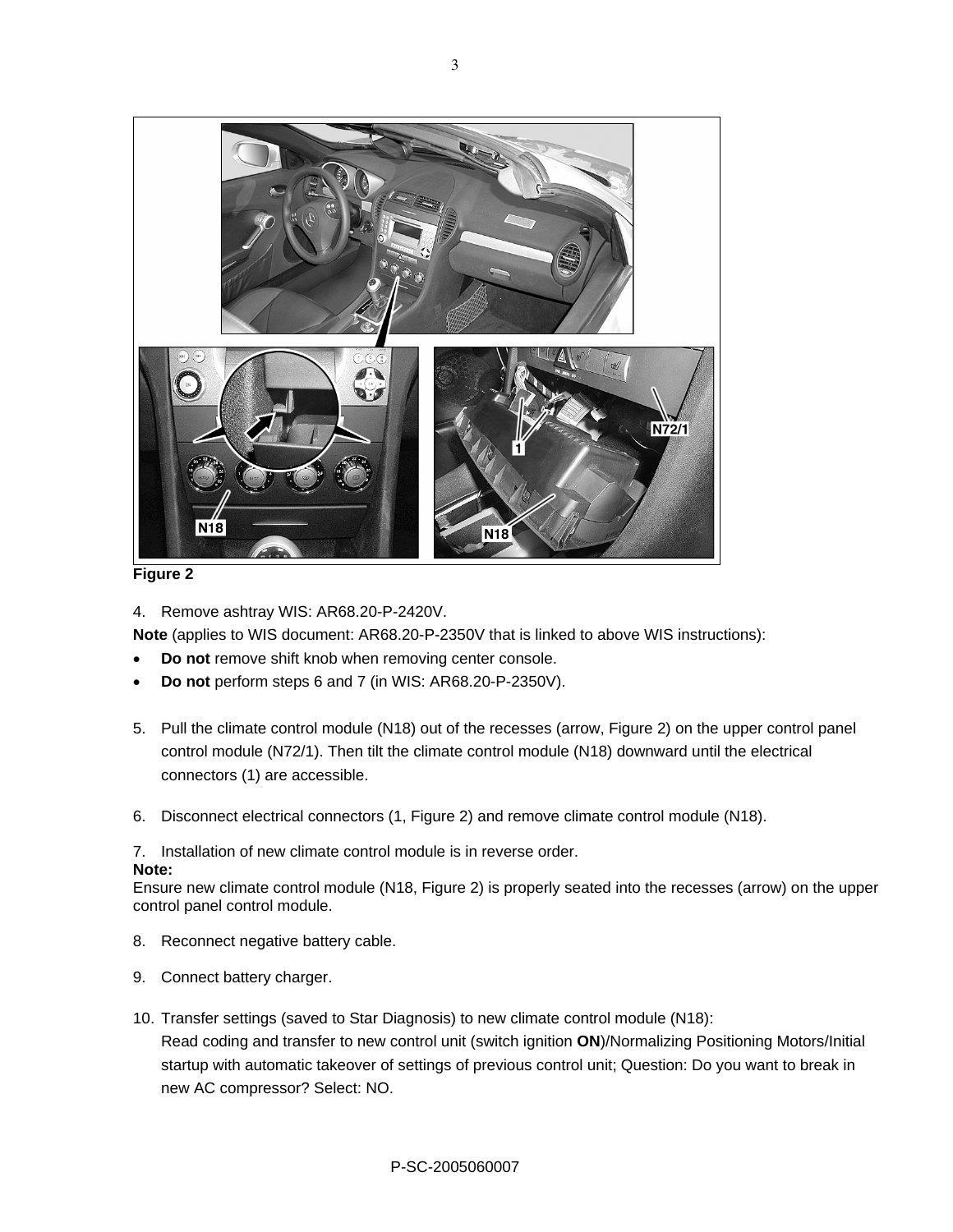

## **Figure 2**

4. Remove ashtray WIS: AR68.20-P-2420V.

**Note** (applies to WIS document: AR68.20-P-2350V that is linked to above WIS instructions):

- **Do not** remove shift knob when removing center console.
- **Do not** perform steps 6 and 7 (in WIS: AR68.20-P-2350V).
- 5. Pull the climate control module (N18) out of the recesses (arrow, Figure 2) on the upper control panel control module (N72/1). Then tilt the climate control module (N18) downward until the electrical connectors (1) are accessible.
- 6. Disconnect electrical connectors (1, Figure 2) and remove climate control module (N18).

## 7. Installation of new climate control module is in reverse order.

### **Note:**

Ensure new climate control module (N18, Figure 2) is properly seated into the recesses (arrow) on the upper control panel control module.

- 8. Reconnect negative battery cable.
- 9. Connect battery charger.
- 10. Transfer settings (saved to Star Diagnosis) to new climate control module (N18): Read coding and transfer to new control unit (switch ignition **ON**)/Normalizing Positioning Motors/Initial startup with automatic takeover of settings of previous control unit; Question: Do you want to break in new AC compressor? Select: NO.